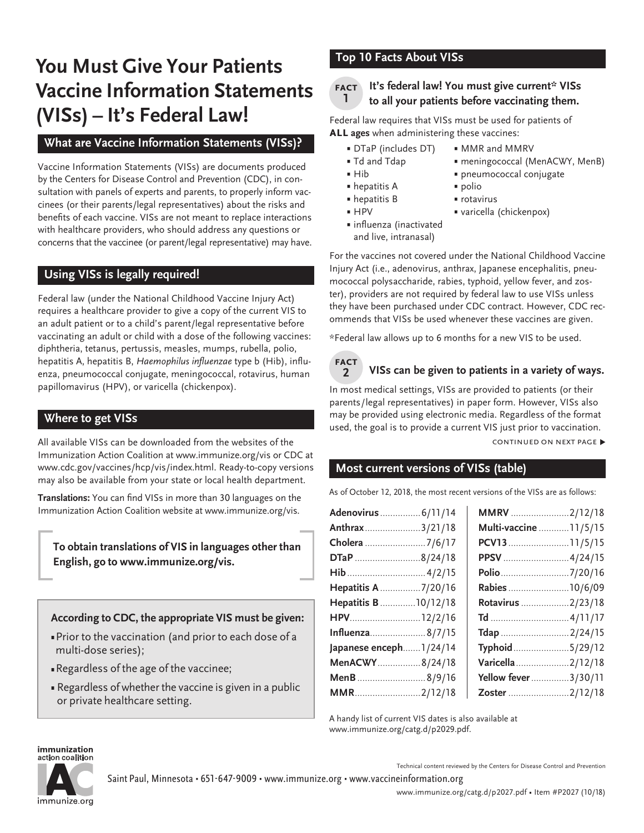# **You Must Give Your Patients Vaccine Information Statements (VISs) – It's Federal Law!**

## **What are Vaccine Information Statements (VISs)?**

Vaccine Information Statements (VISs) are documents produced by the Centers for Disease Control and Prevention (CDC), in consultation with panels of experts and parents, to properly inform vaccinees (or their parents/legal representatives) about the risks and benefits of each vaccine. VISs are not meant to replace interactions with healthcare providers, who should address any questions or concerns that the vaccinee (or parent/legal representative) may have.

## **Using VISs is legally required!**

Federal law (under the National Childhood Vaccine Injury Act) requires a healthcare provider to give a copy of the current VIS to an adult patient or to a child's parent/legal representative before vaccinating an adult or child with a dose of the following vaccines: diphtheria, tetanus, pertussis, measles, mumps, rubella, polio, hepatitis A, hepatitis B, Haemophilus influenzae type b (Hib), influenza, pneumococcal conjugate, meningococcal, rotavirus, human papillomavirus (HPV), or varicella (chickenpox).

## **Where to get VISs**

All available VISs can be downloaded from the websites of the Immunization Action Coalition at www.immunize.org/vis or CDC at [www.cdc.gov/vaccines/hcp/vis/index.html](http://www.cdc.gov/vaccines/hcp/vis/index.html). Ready-to-copy versions may also be available from your state or local health department.

**Translations:** You can find VISs in more than 30 languages on the Immunization Action Coalition website at [www.immunize.org/vis.](http://www.immunize.org/vis)

**To obtain translations of VIS in languages other than English, go to www.immunize.org/vis.** 

**According to CDC, the appropriate VIS must be given:**

- Prior to the vaccination (and prior to each dose of a multi-dose series);
- **Regardless of the age of the vaccinee;**
- **Regardless of whether the vaccine is given in a public** or private healthcare setting.

## **Top 10 Facts About VISs**

#### **It's federal law! You must give current\* VISs to all your patients before vaccinating them. fact 1**

Federal law requires that VISs must be used for patients of **all ages** when administering these vaccines:

- DTaP (includes DT) MMR and MMRV
- Td and Tdap meningococcal (MenACWY, MenB)
- Hib pneumococcal conjugate
- hepatitis A polio
- hepatitis B rotavirus
- 
- HPV varicella (chickenpox)
- influenza (inactivated and live, intranasal)

For the vaccines not covered under the National Childhood Vaccine Injury Act (i.e., adenovirus, anthrax, Japanese encephalitis, pneumococcal polysaccharide, rabies, typhoid, yellow fever, and zoster), providers are not required by federal law to use VISs unless they have been purchased under CDC contract. However, CDC recommends that VISs be used whenever these vaccines are given.

\*Federal law allows up to 6 months for a new VIS to be used.



## **VISs can be given to patients in a variety of ways.**

In most medical settings, VISs are provided to patients (or their parents/legal representatives) in paper form. However, VISs also may be provided using electronic media. Regardless of the format used, the goal is to provide a current VIS just prior to vaccination.

CONTINUED ON NEXT PAGE ▶

## **Most current versions of VISs (table)**

As of October 12, 2018, the most recent versions of the VISs are as follows:

| Adenovirus  6/11/14     | MMRV 2/12/18           |
|-------------------------|------------------------|
| Anthrax3/21/18          | Multi-vaccine  11/5/15 |
| Cholera 7/6/17          | PCV1311/5/15           |
| DTaP 8/24/18            | PPSV 4/24/15           |
|                         | Polio 7/20/16          |
| Hepatitis A 7/20/16     | Rabies 10/6/09         |
| Hepatitis B  10/12/18   | Rotavirus 2/23/18      |
| HPV12/2/16              |                        |
| Influenza8/7/15         | Tdap 2/24/15           |
| Japanese enceph 1/24/14 | Typhoid5/29/12         |
| MenACWY8/24/18          | Varicella2/12/18       |
| MenB 8/9/16             | Yellow fever3/30/11    |
| MMR2/12/18              | Zoster 2/12/18         |

A handy list of current VIS dates is also available at [www.immunize.org/catg.d/p](http://www.immunize.org/catg.d/p2029.pdf)2029.pdf.

#### immunization action coalition



Technical content reviewed by the Centers for Disease Control and Prevention

Saint Paul, Minnesota • 651-647-9009 • [www.immunize.org](http://www.immunize.org) • [www.vaccineinformation.org](http://www.vaccineinformation.org)